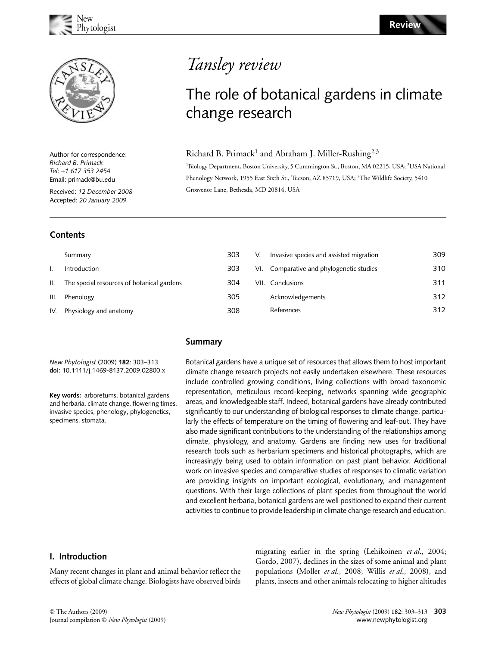

Author for correspondence: *Richard B. Primack Tel:* +*1 617 353 245*4 Email: primack@bu.edu

Received: *12 December 2008* Accepted: *20 January 2009*

## **Contents**

Summary I. Introduction

III. Phenology

IV. Physiology and anatomy

# Tansley review

## The role of botanical gardens in climate change research

## Richard B. Primack<sup>1</sup> and Abraham J. Miller-Rushing<sup>2,3</sup>

<sup>1</sup>Biology Department, Boston University, 5 Cummington St., Boston, MA 02215, USA; <sup>2</sup>USA National Phenology Network, 1955 East Sixth St., Tucson, AZ 85719, USA; <sup>3</sup>The Wildlife Society, 5410 Grosvenor Lane, Bethesda, MD 20814, USA

| 303 | V. | Invasive species and assisted migration  | 309 |
|-----|----|------------------------------------------|-----|
| 303 |    | VI. Comparative and phylogenetic studies | 310 |
| 304 |    | VII. Conclusions                         | 311 |
| 305 |    | Acknowledgements                         | 312 |
| 308 |    | References                               | 312 |
|     |    |                                          |     |

### **Summary**

*New Phytologist* (2009) **182**: 303–313 **doi**: 10.1111/j.1469**-**8137.2009.02800.x

II. The special resources of botanical gardens

**Key words:** arboretums, botanical gardens and herbaria, climate change, flowering times, invasive species, phenology, phylogenetics, specimens, stomata.

Botanical gardens have a unique set of resources that allows them to host important climate change research projects not easily undertaken elsewhere. These resources include controlled growing conditions, living collections with broad taxonomic representation, meticulous record-keeping, networks spanning wide geographic areas, and knowledgeable staff. Indeed, botanical gardens have already contributed significantly to our understanding of biological responses to climate change, particularly the effects of temperature on the timing of flowering and leaf-out. They have also made significant contributions to the understanding of the relationships among climate, physiology, and anatomy. Gardens are finding new uses for traditional research tools such as herbarium specimens and historical photographs, which are increasingly being used to obtain information on past plant behavior. Additional work on invasive species and comparative studies of responses to climatic variation are providing insights on important ecological, evolutionary, and management questions. With their large collections of plant species from throughout the world and excellent herbaria, botanical gardens are well positioned to expand their current activities to continue to provide leadership in climate change research and education.

## **I. Introduction**

Many recent changes in plant and animal behavior reflect the effects of global climate change. Biologists have observed birds

migrating earlier in the spring (Lehikoinen *et al*., 2004; Gordo, 2007), declines in the sizes of some animal and plant populations (Moller *et al*., 2008; Willis *et al*., 2008), and plants, insects and other animals relocating to higher altitudes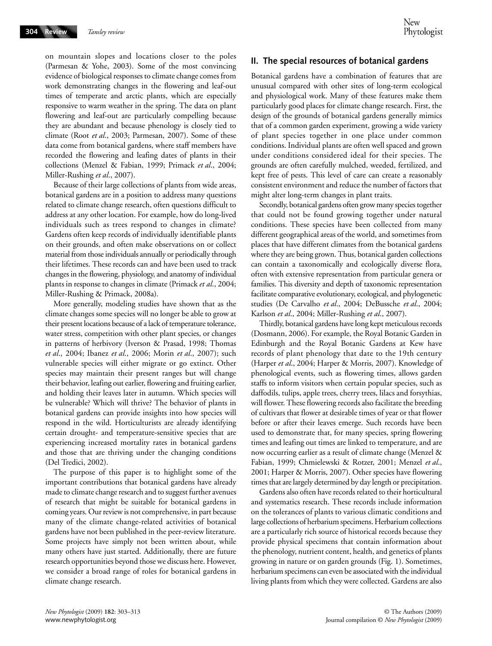on mountain slopes and locations closer to the poles (Parmesan & Yohe, 2003). Some of the most convincing evidence of biological responses to climate change comes from work demonstrating changes in the flowering and leaf-out times of temperate and arctic plants, which are especially responsive to warm weather in the spring. The data on plant flowering and leaf-out are particularly compelling because they are abundant and because phenology is closely tied to climate (Root *et al*., 2003; Parmesan, 2007). Some of these data come from botanical gardens, where staff members have recorded the flowering and leafing dates of plants in their collections (Menzel & Fabian, 1999; Primack *et al*., 2004; Miller-Rushing *et al*., 2007).

Because of their large collections of plants from wide areas, botanical gardens are in a position to address many questions related to climate change research, often questions difficult to address at any other location. For example, how do long-lived individuals such as trees respond to changes in climate? Gardens often keep records of individually identifiable plants on their grounds, and often make observations on or collect material from those individuals annually or periodically through their lifetimes. These records can and have been used to track changes in the flowering, physiology, and anatomy of individual plants in response to changes in climate (Primack *et al*., 2004; Miller-Rushing & Primack, 2008a).

More generally, modeling studies have shown that as the climate changes some species will no longer be able to grow at their present locations because of a lack of temperature tolerance, water stress, competition with other plant species, or changes in patterns of herbivory (Iverson & Prasad, 1998; Thomas *et al*., 2004; Ibanez *et al*., 2006; Morin *et al*., 2007); such vulnerable species will either migrate or go extinct. Other species may maintain their present ranges but will change their behavior, leafing out earlier, flowering and fruiting earlier, and holding their leaves later in autumn. Which species will be vulnerable? Which will thrive? The behavior of plants in botanical gardens can provide insights into how species will respond in the wild. Horticulturists are already identifying certain drought- and temperature-sensitive species that are experiencing increased mortality rates in botanical gardens and those that are thriving under the changing conditions (Del Tredici, 2002).

The purpose of this paper is to highlight some of the important contributions that botanical gardens have already made to climate change research and to suggest further avenues of research that might be suitable for botanical gardens in coming years. Our review is not comprehensive, in part because many of the climate change-related activities of botanical gardens have not been published in the peer-review literature. Some projects have simply not been written about, while many others have just started. Additionally, there are future research opportunities beyond those we discuss here. However, we consider a broad range of roles for botanical gardens in climate change research.

### **II. The special resources of botanical gardens**

Botanical gardens have a combination of features that are unusual compared with other sites of long-term ecological and physiological work. Many of these features make them particularly good places for climate change research. First, the design of the grounds of botanical gardens generally mimics that of a common garden experiment, growing a wide variety of plant species together in one place under common conditions. Individual plants are often well spaced and grown under conditions considered ideal for their species. The grounds are often carefully mulched, weeded, fertilized, and kept free of pests. This level of care can create a reasonably consistent environment and reduce the number of factors that might alter long-term changes in plant traits.

Secondly, botanical gardens often grow many species together that could not be found growing together under natural conditions. These species have been collected from many different geographical areas of the world, and sometimes from places that have different climates from the botanical gardens where they are being grown. Thus, botanical garden collections can contain a taxonomically and ecologically diverse flora, often with extensive representation from particular genera or families. This diversity and depth of taxonomic representation facilitate comparative evolutionary, ecological, and phylogenetic studies (De Carvalho *et al*., 2004; DeBussche *et al*., 2004; Karlson *et al*., 2004; Miller-Rushing *et al*., 2007).

Thirdly, botanical gardens have long kept meticulous records (Dosmann, 2006). For example, the Royal Botanic Garden in Edinburgh and the Royal Botanic Gardens at Kew have records of plant phenology that date to the 19th century (Harper *et al*., 2004; Harper & Morris, 2007). Knowledge of phenological events, such as flowering times, allows garden staffs to inform visitors when certain popular species, such as daffodils, tulips, apple trees, cherry trees, lilacs and forsythias, will flower. These flowering records also facilitate the breeding of cultivars that flower at desirable times of year or that flower before or after their leaves emerge. Such records have been used to demonstrate that, for many species, spring flowering times and leafing out times are linked to temperature, and are now occurring earlier as a result of climate change (Menzel & Fabian, 1999; Chmielewski & Rotzer, 2001; Menzel *et al*., 2001; Harper & Morris, 2007). Other species have flowering times that are largely determined by day length or precipitation.

Gardens also often have records related to their horticultural and systematics research. These records include information on the tolerances of plants to various climatic conditions and large collections of herbarium specimens. Herbarium collections are a particularly rich source of historical records because they provide physical specimens that contain information about the phenology, nutrient content, health, and genetics of plants growing in nature or on garden grounds (Fig. 1). Sometimes, herbarium specimens can even be associated with the individual living plants from which they were collected. Gardens are also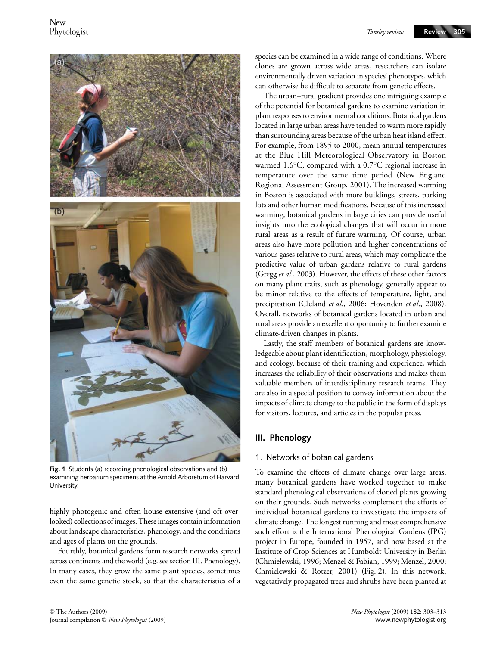

**Fig. 1** Students (a) recording phenological observations and (b) examining herbarium specimens at the Arnold Arboretum of Harvard University.

highly photogenic and often house extensive (and oft overlooked) collections of images. These images contain information about landscape characteristics, phenology, and the conditions and ages of plants on the grounds.

Fourthly, botanical gardens form research networks spread across continents and the world (e.g. see section III. Phenology). In many cases, they grow the same plant species, sometimes even the same genetic stock, so that the characteristics of a

species can be examined in a wide range of conditions. Where clones are grown across wide areas, researchers can isolate environmentally driven variation in species' phenotypes, which can otherwise be difficult to separate from genetic effects.

The urban–rural gradient provides one intriguing example of the potential for botanical gardens to examine variation in plant responses to environmental conditions. Botanical gardens located in large urban areas have tended to warm more rapidly than surrounding areas because of the urban heat island effect. For example, from 1895 to 2000, mean annual temperatures at the Blue Hill Meteorological Observatory in Boston warmed 1.6°C, compared with a 0.7°C regional increase in temperature over the same time period (New England Regional Assessment Group, 2001). The increased warming in Boston is associated with more buildings, streets, parking lots and other human modifications. Because of this increased warming, botanical gardens in large cities can provide useful insights into the ecological changes that will occur in more rural areas as a result of future warming. Of course, urban areas also have more pollution and higher concentrations of various gases relative to rural areas, which may complicate the predictive value of urban gardens relative to rural gardens (Gregg *et al*., 2003). However, the effects of these other factors on many plant traits, such as phenology, generally appear to be minor relative to the effects of temperature, light, and precipitation (Cleland *et al*., 2006; Hovenden *et al*., 2008). Overall, networks of botanical gardens located in urban and rural areas provide an excellent opportunity to further examine climate-driven changes in plants.

Lastly, the staff members of botanical gardens are knowledgeable about plant identification, morphology, physiology, and ecology, because of their training and experience, which increases the reliability of their observations and makes them valuable members of interdisciplinary research teams. They are also in a special position to convey information about the impacts of climate change to the public in the form of displays for visitors, lectures, and articles in the popular press.

#### **III. Phenology**

#### 1. Networks of botanical gardens

To examine the effects of climate change over large areas, many botanical gardens have worked together to make standard phenological observations of cloned plants growing on their grounds. Such networks complement the efforts of individual botanical gardens to investigate the impacts of climate change. The longest running and most comprehensive such effort is the International Phenological Gardens (IPG) project in Europe, founded in 1957, and now based at the Institute of Crop Sciences at Humboldt University in Berlin (Chmielewski, 1996; Menzel & Fabian, 1999; Menzel, 2000; Chmielewski & Rotzer, 2001) (Fig. 2). In this network, vegetatively propagated trees and shrubs have been planted at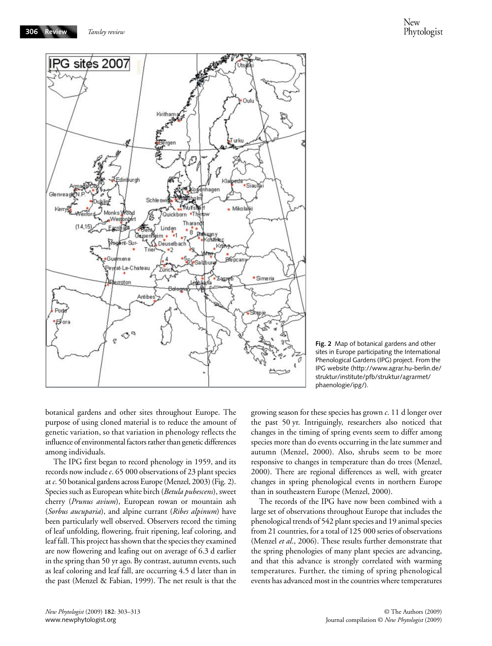**306 Review**



**Fig. 2** Map of botanical gardens and other sites in Europe participating the International Phenological Gardens (IPG) project. From the IPG website [\(http://www.agrar.hu-berlin.de/](http://www.agrar.hu-berlin.de/struktur/institute/pfb/struktur/agrarmet/phaenologie/ipg/) struktur/institute/pfb/struktur/agrarmet/ phaenologie/ipg/).

botanical gardens and other sites throughout Europe. The purpose of using cloned material is to reduce the amount of genetic variation, so that variation in phenology reflects the influence of environmental factors rather than genetic differences among individuals.

The IPG first began to record phenology in 1959, and its records now include *c*. 65 000 observations of 23 plant species at *c*. 50 botanical gardens across Europe (Menzel, 2003) (Fig. 2). Species such as European white birch (*Betula pubescens*), sweet cherry (*Prunus avium*), European rowan or mountain ash (*Sorbus aucuparia*), and alpine currant (*Ribes alpinum*) have been particularly well observed. Observers record the timing of leaf unfolding, flowering, fruit ripening, leaf coloring, and leaf fall. This project has shown that the species they examined are now flowering and leafing out on average of 6.3 d earlier in the spring than 50 yr ago. By contrast, autumn events, such as leaf coloring and leaf fall, are occurring 4.5 d later than in the past (Menzel & Fabian, 1999). The net result is that the growing season for these species has grown *c*. 11 d longer over the past 50 yr. Intriguingly, researchers also noticed that changes in the timing of spring events seem to differ among species more than do events occurring in the late summer and autumn (Menzel, 2000). Also, shrubs seem to be more responsive to changes in temperature than do trees (Menzel, 2000). There are regional differences as well, with greater changes in spring phenological events in northern Europe than in southeastern Europe (Menzel, 2000).

The records of the IPG have now been combined with a large set of observations throughout Europe that includes the phenological trends of 542 plant species and 19 animal species from 21 countries, for a total of 125 000 series of observations (Menzel *et al*., 2006). These results further demonstrate that the spring phenologies of many plant species are advancing, and that this advance is strongly correlated with warming temperatures. Further, the timing of spring phenological events has advanced most in the countries where temperatures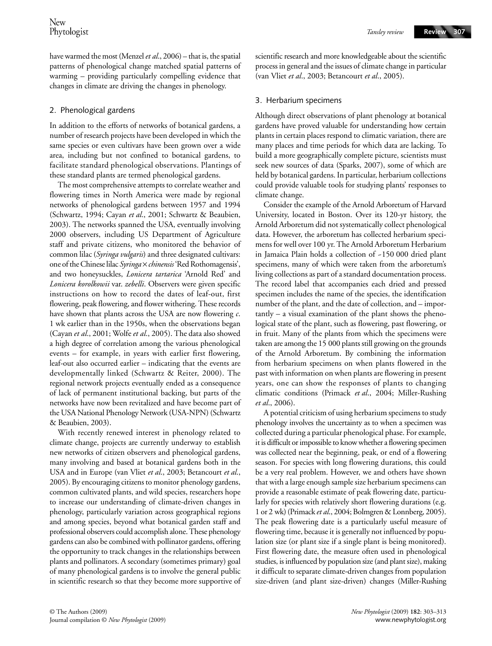have warmed the most (Menzel *et al*., 2006) – that is, the spatial patterns of phenological change matched spatial patterns of warming – providing particularly compelling evidence that changes in climate are driving the changes in phenology.

## 2. Phenological gardens

In addition to the efforts of networks of botanical gardens, a number of research projects have been developed in which the same species or even cultivars have been grown over a wide area, including but not confined to botanical gardens, to facilitate standard phenological observations. Plantings of these standard plants are termed phenological gardens.

The most comprehensive attempts to correlate weather and flowering times in North America were made by regional networks of phenological gardens between 1957 and 1994 (Schwartz, 1994; Cayan *et al*., 2001; Schwartz & Beaubien, 2003). The networks spanned the USA, eventually involving 2000 observers, including US Department of Agriculture staff and private citizens, who monitored the behavior of common lilac (*Syringa vulgaris*) and three designated cultivars: one of the Chinese lilac *Syringa* × *chinensis* 'Red Rothomagensis', and two honeysuckles, *Lonicera tartarica* 'Arnold Red' and *Lonicera korolkowii* var. *zebelli*. Observers were given specific instructions on how to record the dates of leaf-out, first flowering, peak flowering, and flower withering. These records have shown that plants across the USA are now flowering *c*. 1 wk earlier than in the 1950s, when the observations began (Cayan *et al*., 2001; Wolfe *et al*., 2005). The data also showed a high degree of correlation among the various phenological events – for example, in years with earlier first flowering, leaf-out also occurred earlier – indicating that the events are developmentally linked (Schwartz & Reiter, 2000). The regional network projects eventually ended as a consequence of lack of permanent institutional backing, but parts of the networks have now been revitalized and have become part of the USA National Phenology Network (USA-NPN) (Schwartz & Beaubien, 2003).

With recently renewed interest in phenology related to climate change, projects are currently underway to establish new networks of citizen observers and phenological gardens, many involving and based at botanical gardens both in the USA and in Europe (van Vliet *et al*., 2003; Betancourt *et al*., 2005). By encouraging citizens to monitor phenology gardens, common cultivated plants, and wild species, researchers hope to increase our understanding of climate-driven changes in phenology, particularly variation across geographical regions and among species, beyond what botanical garden staff and professional observers could accomplish alone. These phenology gardens can also be combined with pollinator gardens, offering the opportunity to track changes in the relationships between plants and pollinators. A secondary (sometimes primary) goal of many phenological gardens is to involve the general public in scientific research so that they become more supportive of scientific research and more knowledgeable about the scientific process in general and the issues of climate change in particular (van Vliet *et al*., 2003; Betancourt *et al*., 2005).

## 3. Herbarium specimens

Although direct observations of plant phenology at botanical gardens have proved valuable for understanding how certain plants in certain places respond to climatic variation, there are many places and time periods for which data are lacking. To build a more geographically complete picture, scientists must seek new sources of data (Sparks, 2007), some of which are held by botanical gardens. In particular, herbarium collections could provide valuable tools for studying plants' responses to climate change.

Consider the example of the Arnold Arboretum of Harvard University, located in Boston. Over its 120-yr history, the Arnold Arboretum did not systematically collect phenological data. However, the arboretum has collected herbarium specimens for well over 100 yr. The Arnold Arboretum Herbarium in Jamaica Plain holds a collection of ~150 000 dried plant specimens, many of which were taken from the arboretum's living collections as part of a standard documentation process. The record label that accompanies each dried and pressed specimen includes the name of the species, the identification number of the plant, and the date of collection, and – importantly – a visual examination of the plant shows the phenological state of the plant, such as flowering, past flowering, or in fruit. Many of the plants from which the specimens were taken are among the 15 000 plants still growing on the grounds of the Arnold Arboretum. By combining the information from herbarium specimens on when plants flowered in the past with information on when plants are flowering in present years, one can show the responses of plants to changing climatic conditions (Primack *et al*., 2004; Miller-Rushing *et al*., 2006).

A potential criticism of using herbarium specimens to study phenology involves the uncertainty as to when a specimen was collected during a particular phenological phase. For example, it is difficult or impossible to know whether a flowering specimen was collected near the beginning, peak, or end of a flowering season. For species with long flowering durations, this could be a very real problem. However, we and others have shown that with a large enough sample size herbarium specimens can provide a reasonable estimate of peak flowering date, particularly for species with relatively short flowering durations (e.g. 1 or 2 wk) (Primack *et al*., 2004; Bolmgren & Lonnberg, 2005). The peak flowering date is a particularly useful measure of flowering time, because it is generally not influenced by population size (or plant size if a single plant is being monitored). First flowering date, the measure often used in phenological studies, is influenced by population size (and plant size), making it difficult to separate climate-driven changes from population size-driven (and plant size-driven) changes (Miller-Rushing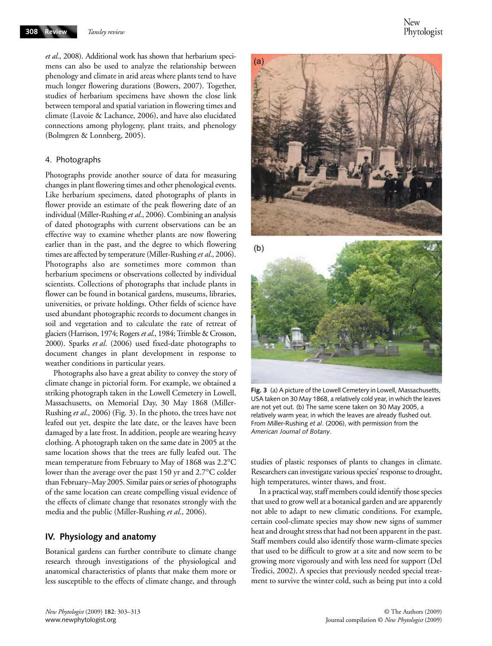*et al*., 2008). Additional work has shown that herbarium specimens can also be used to analyze the relationship between phenology and climate in arid areas where plants tend to have much longer flowering durations (Bowers, 2007). Together, studies of herbarium specimens have shown the close link between temporal and spatial variation in flowering times and climate (Lavoie & Lachance, 2006), and have also elucidated connections among phylogeny, plant traits, and phenology (Bolmgren & Lonnberg, 2005).

#### 4. Photographs

Photographs provide another source of data for measuring changes in plant flowering times and other phenological events. Like herbarium specimens, dated photographs of plants in flower provide an estimate of the peak flowering date of an individual (Miller-Rushing *et al*., 2006). Combining an analysis of dated photographs with current observations can be an effective way to examine whether plants are now flowering earlier than in the past, and the degree to which flowering times are affected by temperature (Miller-Rushing *et al*., 2006). Photographs also are sometimes more common than herbarium specimens or observations collected by individual scientists. Collections of photographs that include plants in flower can be found in botanical gardens, museums, libraries, universities, or private holdings. Other fields of science have used abundant photographic records to document changes in soil and vegetation and to calculate the rate of retreat of glaciers (Harrison, 1974; Rogers *et al*., 1984; Trimble & Crosson, 2000). Sparks *et al*. (2006) used fixed-date photographs to document changes in plant development in response to weather conditions in particular years.

Photographs also have a great ability to convey the story of climate change in pictorial form. For example, we obtained a striking photograph taken in the Lowell Cemetery in Lowell, Massachusetts, on Memorial Day, 30 May 1868 (Miller-Rushing *et al*., 2006) (Fig. 3). In the photo, the trees have not leafed out yet, despite the late date, or the leaves have been damaged by a late frost. In addition, people are wearing heavy clothing. A photograph taken on the same date in 2005 at the same location shows that the trees are fully leafed out. The mean temperature from February to May of 1868 was 2.2°C lower than the average over the past 150 yr and 2.7°C colder than February–May 2005. Similar pairs or series of photographs of the same location can create compelling visual evidence of the effects of climate change that resonates strongly with the media and the public (Miller-Rushing *et al*., 2006).

#### **IV. Physiology and anatomy**

Botanical gardens can further contribute to climate change research through investigations of the physiological and anatomical characteristics of plants that make them more or less susceptible to the effects of climate change, and through



**Fig. 3** (a) A picture of the Lowell Cemetery in Lowell, Massachusetts, USA taken on 30 May 1868, a relatively cold year, in which the leaves are not yet out. (b) The same scene taken on 30 May 2005, a relatively warm year, in which the leaves are already flushed out. From Miller-Rushing *et al*. (2006), with permission from the *American Journal of Botany*.

studies of plastic responses of plants to changes in climate. Researchers can investigate various species' response to drought, high temperatures, winter thaws, and frost.

In a practical way, staff members could identify those species that used to grow well at a botanical garden and are apparently not able to adapt to new climatic conditions. For example, certain cool-climate species may show new signs of summer heat and drought stress that had not been apparent in the past. Staff members could also identify those warm-climate species that used to be difficult to grow at a site and now seem to be growing more vigorously and with less need for support (Del Tredici, 2002). A species that previously needed special treatment to survive the winter cold, such as being put into a cold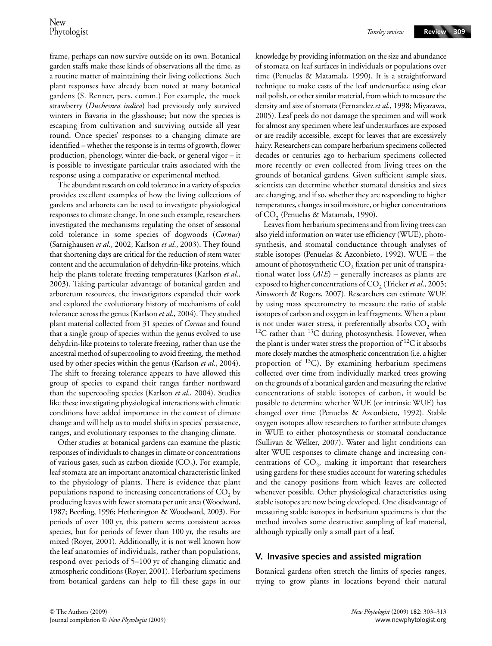frame, perhaps can now survive outside on its own. Botanical garden staffs make these kinds of observations all the time, as a routine matter of maintaining their living collections. Such plant responses have already been noted at many botanical gardens (S. Renner, pers. comm.) For example, the mock strawberry (*Duchesnea indica*) had previously only survived winters in Bavaria in the glasshouse; but now the species is escaping from cultivation and surviving outside all year round. Once species' responses to a changing climate are identified – whether the response is in terms of growth, flower production, phenology, winter die-back, or general vigor – it is possible to investigate particular traits associated with the response using a comparative or experimental method.

The abundant research on cold tolerance in a variety of species provides excellent examples of how the living collections of gardens and arboreta can be used to investigate physiological responses to climate change. In one such example, researchers investigated the mechanisms regulating the onset of seasonal cold tolerance in some species of dogwoods (*Cornus*) (Sarnighausen *et al*., 2002; Karlson *et al*., 2003). They found that shortening days are critical for the reduction of stem water content and the accumulation of dehydrin-like proteins, which help the plants tolerate freezing temperatures (Karlson *et al*., 2003). Taking particular advantage of botanical garden and arboretum resources, the investigators expanded their work and explored the evolutionary history of mechanisms of cold tolerance across the genus (Karlson *et al*., 2004). They studied plant material collected from 31 species of *Cornus* and found that a single group of species within the genus evolved to use dehydrin-like proteins to tolerate freezing, rather than use the ancestral method of supercooling to avoid freezing, the method used by other species within the genus (Karlson *et al*., 2004). The shift to freezing tolerance appears to have allowed this group of species to expand their ranges farther northward than the supercooling species (Karlson *et al*., 2004). Studies like these investigating physiological interactions with climatic conditions have added importance in the context of climate change and will help us to model shifts in species' persistence, ranges, and evolutionary responses to the changing climate.

Other studies at botanical gardens can examine the plastic responses of individuals to changes in climate or concentrations of various gases, such as carbon dioxide  $(CO<sub>2</sub>)$ . For example, leaf stomata are an important anatomical characteristic linked to the physiology of plants. There is evidence that plant populations respond to increasing concentrations of  $CO<sub>2</sub>$  by producing leaves with fewer stomata per unit area (Woodward, 1987; Beerling, 1996; Hetherington & Woodward, 2003). For periods of over 100 yr, this pattern seems consistent across species, but for periods of fewer than 100 yr, the results are mixed (Royer, 2001). Additionally, it is not well known how the leaf anatomies of individuals, rather than populations, respond over periods of 5–100 yr of changing climatic and atmospheric conditions (Royer, 2001). Herbarium specimens from botanical gardens can help to fill these gaps in our

knowledge by providing information on the size and abundance of stomata on leaf surfaces in individuals or populations over time (Penuelas & Matamala, 1990). It is a straightforward technique to make casts of the leaf undersurface using clear nail polish, or other similar material, from which to measure the density and size of stomata (Fernandez *et al*., 1998; Miyazawa, 2005). Leaf peels do not damage the specimen and will work for almost any specimen where leaf undersurfaces are exposed or are readily accessible, except for leaves that are excessively hairy. Researchers can compare herbarium specimens collected decades or centuries ago to herbarium specimens collected more recently or even collected from living trees on the grounds of botanical gardens. Given sufficient sample sizes, scientists can determine whether stomatal densities and sizes are changing, and if so, whether they are responding to higher temperatures, changes in soil moisture, or higher concentrations of CO<sub>2</sub> (Penuelas & Matamala, 1990).

Leaves from herbarium specimens and from living trees can also yield information on water use efficiency (WUE), photosynthesis, and stomatal conductance through analyses of stable isotopes (Penuelas & Azconbieto, 1992). WUE – the amount of photosynthetic  $\mathrm{CO}_2$  fixation per unit of transpirational water loss (*A*/*E*) – generally increases as plants are exposed to higher concentrations of CO<sub>2</sub> (Tricker *et al.*, 2005; Ainsworth & Rogers, 2007). Researchers can estimate WUE by using mass spectrometry to measure the ratio of stable isotopes of carbon and oxygen in leaf fragments. When a plant is not under water stress, it preferentially absorbs  $CO_2$  with <sup>12</sup>C rather than <sup>13</sup>C during photosynthesis. However, when the plant is under water stress the proportion of  ${}^{12}C$  it absorbs more closely matches the atmospheric concentration (i.e. a higher proportion of  $^{13}$ C). By examining herbarium specimens collected over time from individually marked trees growing on the grounds of a botanical garden and measuring the relative concentrations of stable isotopes of carbon, it would be possible to determine whether WUE (or intrinsic WUE) has changed over time (Penuelas & Azconbieto, 1992). Stable oxygen isotopes allow researchers to further attribute changes in WUE to either photosynthesis or stomatal conductance (Sullivan & Welker, 2007). Water and light conditions can alter WUE responses to climate change and increasing concentrations of  $CO<sub>2</sub>$ , making it important that researchers using gardens for these studies account for watering schedules and the canopy positions from which leaves are collected whenever possible. Other physiological characteristics using stable isotopes are now being developed. One disadvantage of measuring stable isotopes in herbarium specimens is that the method involves some destructive sampling of leaf material, although typically only a small part of a leaf.

#### **V. Invasive species and assisted migration**

Botanical gardens often stretch the limits of species ranges, trying to grow plants in locations beyond their natural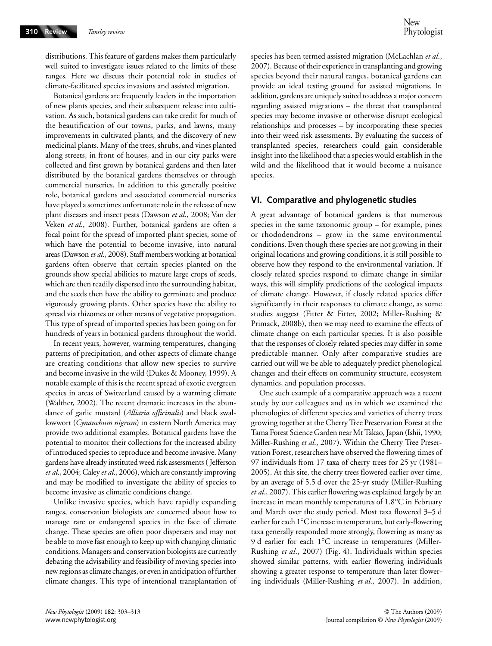distributions. This feature of gardens makes them particularly well suited to investigate issues related to the limits of these ranges. Here we discuss their potential role in studies of climate-facilitated species invasions and assisted migration.

Botanical gardens are frequently leaders in the importation of new plants species, and their subsequent release into cultivation. As such, botanical gardens can take credit for much of the beautification of our towns, parks, and lawns, many improvements in cultivated plants, and the discovery of new medicinal plants. Many of the trees, shrubs, and vines planted along streets, in front of houses, and in our city parks were collected and first grown by botanical gardens and then later distributed by the botanical gardens themselves or through commercial nurseries. In addition to this generally positive role, botanical gardens and associated commercial nurseries have played a sometimes unfortunate role in the release of new plant diseases and insect pests (Dawson *et al*., 2008; Van der Veken *et al*., 2008). Further, botanical gardens are often a focal point for the spread of imported plant species, some of which have the potential to become invasive, into natural areas (Dawson *et al*., 2008). Staff members working at botanical gardens often observe that certain species planted on the grounds show special abilities to mature large crops of seeds, which are then readily dispersed into the surrounding habitat, and the seeds then have the ability to germinate and produce vigorously growing plants. Other species have the ability to spread via rhizomes or other means of vegetative propagation. This type of spread of imported species has been going on for hundreds of years in botanical gardens throughout the world.

In recent years, however, warming temperatures, changing patterns of precipitation, and other aspects of climate change are creating conditions that allow new species to survive and become invasive in the wild (Dukes & Mooney, 1999). A notable example of this is the recent spread of exotic evergreen species in areas of Switzerland caused by a warming climate (Walther, 2002). The recent dramatic increases in the abundance of garlic mustard (*Alliaria officinalis*) and black swallowwort (*Cynanchum nigrum*) in eastern North America may provide two additional examples. Botanical gardens have the potential to monitor their collections for the increased ability of introduced species to reproduce and become invasive. Many gardens have already instituted weed risk assessments ( Jefferson *et al*., 2004; Caley *et al*., 2006), which are constantly improving and may be modified to investigate the ability of species to become invasive as climatic conditions change.

Unlike invasive species, which have rapidly expanding ranges, conservation biologists are concerned about how to manage rare or endangered species in the face of climate change. These species are often poor dispersers and may not be able to move fast enough to keep up with changing climatic conditions. Managers and conservation biologists are currently debating the advisability and feasibility of moving species into new regions as climate changes, or even in anticipation of further climate changes. This type of intentional transplantation of species has been termed assisted migration (McLachlan *et al*., 2007). Because of their experience in transplanting and growing species beyond their natural ranges, botanical gardens can provide an ideal testing ground for assisted migrations. In addition, gardens are uniquely suited to address a major concern regarding assisted migrations – the threat that transplanted species may become invasive or otherwise disrupt ecological relationships and processes – by incorporating these species into their weed risk assessments. By evaluating the success of transplanted species, researchers could gain considerable insight into the likelihood that a species would establish in the wild and the likelihood that it would become a nuisance species.

## **VI. Comparative and phylogenetic studies**

A great advantage of botanical gardens is that numerous species in the same taxonomic group – for example, pines or rhododendrons – grow in the same environmental conditions. Even though these species are not growing in their original locations and growing conditions, it is still possible to observe how they respond to the environmental variation. If closely related species respond to climate change in similar ways, this will simplify predictions of the ecological impacts of climate change. However, if closely related species differ significantly in their responses to climate change, as some studies suggest (Fitter & Fitter, 2002; Miller-Rushing & Primack, 2008b), then we may need to examine the effects of climate change on each particular species. It is also possible that the responses of closely related species may differ in some predictable manner. Only after comparative studies are carried out will we be able to adequately predict phenological changes and their effects on community structure, ecosystem dynamics, and population processes.

One such example of a comparative approach was a recent study by our colleagues and us in which we examined the phenologies of different species and varieties of cherry trees growing together at the Cherry Tree Preservation Forest at the Tama Forest Science Garden near Mt Takao, Japan (Ishii, 1990; Miller-Rushing *et al*., 2007). Within the Cherry Tree Preservation Forest, researchers have observed the flowering times of 97 individuals from 17 taxa of cherry trees for 25 yr (1981– 2005). At this site, the cherry trees flowered earlier over time, by an average of 5.5 d over the 25-yr study (Miller-Rushing *et al*., 2007). This earlier flowering was explained largely by an increase in mean monthly temperatures of 1.8°C in February and March over the study period. Most taxa flowered 3–5 d earlier for each 1°C increase in temperature, but early-flowering taxa generally responded more strongly, flowering as many as 9 d earlier for each 1°C increase in temperatures (Miller-Rushing *et al*., 2007) (Fig. 4). Individuals within species showed similar patterns, with earlier flowering individuals showing a greater response to temperature than later flowering individuals (Miller-Rushing *et al*., 2007). In addition,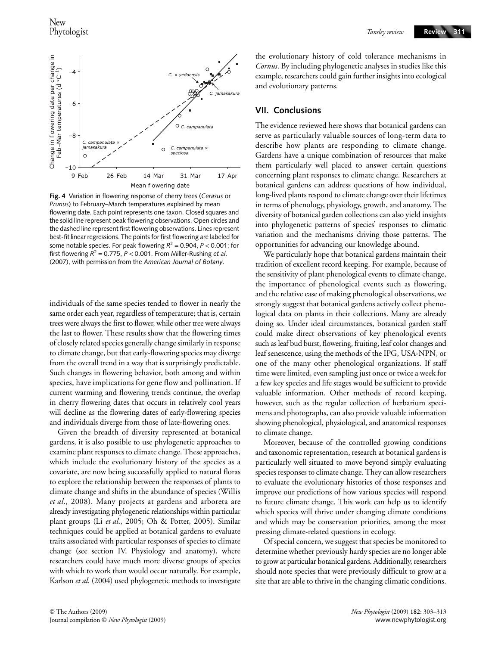

**Fig. 4** Variation in flowering response of cherry trees (*Cerasus* or *Prunus*) to February–March temperatures explained by mean flowering date. Each point represents one taxon. Closed squares and the solid line represent peak flowering observations. Open circles and the dashed line represent first flowering observations. Lines represent best-fit linear regressions. The points for first flowering are labeled for some notable species. For peak flowering  $R^2 = 0.904$ ,  $P < 0.001$ ; for first flowering  $R^2 = 0.775$ ,  $P < 0.001$ . From Miller-Rushing *et al.* (2007), with permission from the *American Journal of Botany*.

individuals of the same species tended to flower in nearly the same order each year, regardless of temperature; that is, certain trees were always the first to flower, while other tree were always the last to flower. These results show that the flowering times of closely related species generally change similarly in response to climate change, but that early-flowering species may diverge from the overall trend in a way that is surprisingly predictable. Such changes in flowering behavior, both among and within species, have implications for gene flow and pollination. If current warming and flowering trends continue, the overlap in cherry flowering dates that occurs in relatively cool years will decline as the flowering dates of early-flowering species and individuals diverge from those of late-flowering ones.

Given the breadth of diversity represented at botanical gardens, it is also possible to use phylogenetic approaches to examine plant responses to climate change. These approaches, which include the evolutionary history of the species as a covariate, are now being successfully applied to natural floras to explore the relationship between the responses of plants to climate change and shifts in the abundance of species (Willis *et al*., 2008). Many projects at gardens and arboreta are already investigating phylogenetic relationships within particular plant groups (Li *et al*., 2005; Oh & Potter, 2005). Similar techniques could be applied at botanical gardens to evaluate traits associated with particular responses of species to climate change (see section IV. Physiology and anatomy), where researchers could have much more diverse groups of species with which to work than would occur naturally. For example, Karlson *et al*. (2004) used phylogenetic methods to investigate

*Tansley review*

the evolutionary history of cold tolerance mechanisms in *Cornus*. By including phylogenetic analyses in studies like this example, researchers could gain further insights into ecological and evolutionary patterns.

## **VII. Conclusions**

The evidence reviewed here shows that botanical gardens can serve as particularly valuable sources of long-term data to describe how plants are responding to climate change. Gardens have a unique combination of resources that make them particularly well placed to answer certain questions concerning plant responses to climate change. Researchers at botanical gardens can address questions of how individual, long-lived plants respond to climate change over their lifetimes in terms of phenology, physiology, growth, and anatomy. The diversity of botanical garden collections can also yield insights into phylogenetic patterns of species' responses to climatic variation and the mechanisms driving those patterns. The opportunities for advancing our knowledge abound.

We particularly hope that botanical gardens maintain their tradition of excellent record keeping. For example, because of the sensitivity of plant phenological events to climate change, the importance of phenological events such as flowering, and the relative ease of making phenological observations, we strongly suggest that botanical gardens actively collect phenological data on plants in their collections. Many are already doing so. Under ideal circumstances, botanical garden staff could make direct observations of key phenological events such as leaf bud burst, flowering, fruiting, leaf color changes and leaf senescence, using the methods of the IPG, USA-NPN, or one of the many other phenological organizations. If staff time were limited, even sampling just once or twice a week for a few key species and life stages would be sufficient to provide valuable information. Other methods of record keeping, however, such as the regular collection of herbarium specimens and photographs, can also provide valuable information showing phenological, physiological, and anatomical responses to climate change.

Moreover, because of the controlled growing conditions and taxonomic representation, research at botanical gardens is particularly well situated to move beyond simply evaluating species responses to climate change. They can allow researchers to evaluate the evolutionary histories of those responses and improve our predictions of how various species will respond to future climate change. This work can help us to identify which species will thrive under changing climate conditions and which may be conservation priorities, among the most pressing climate-related questions in ecology.

Of special concern, we suggest that species be monitored to determine whether previously hardy species are no longer able to grow at particular botanical gardens. Additionally, researchers should note species that were previously difficult to grow at a site that are able to thrive in the changing climatic conditions.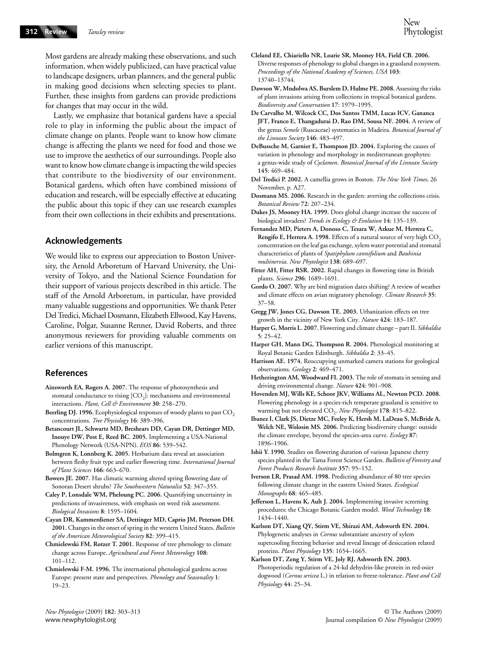Most gardens are already making these observations, and such information, when widely publicized, can have practical value to landscape designers, urban planners, and the general public in making good decisions when selecting species to plant. Further, these insights from gardens can provide predictions for changes that may occur in the wild.

Lastly, we emphasize that botanical gardens have a special role to play in informing the public about the impact of climate change on plants. People want to know how climate change is affecting the plants we need for food and those we use to improve the aesthetics of our surroundings. People also want to know how climate change is impacting the wild species that contribute to the biodiversity of our environment. Botanical gardens, which often have combined missions of education and research, will be especially effective at educating the public about this topic if they can use research examples from their own collections in their exhibits and presentations.

#### **Acknowledgements**

We would like to express our appreciation to Boston University, the Arnold Arboretum of Harvard University, the University of Tokyo, and the National Science Foundation for their support of various projects described in this article. The staff of the Arnold Arboretum, in particular, have provided many valuable suggestions and opportunities. We thank Peter Del Tredici, Michael Dosmann, Elizabeth Ellwood, Kay Havens, Caroline, Polgar, Susanne Renner, David Roberts, and three anonymous reviewers for providing valuable comments on earlier versions of this manuscript.

### **References**

- **Ainsworth EA, Rogers A. 2007.** The response of photosynthesis and stomatal conductance to rising  $[CO<sub>2</sub>]$ : mechanisms and environmental interactions. *Plant, Cell & Environment* **30**: 258–270.
- Beerling DJ. 1996. Ecophysiological responses of woody plants to past CO<sub>2</sub> concentrations. *Tree Physiology* **16**: 389–396.
- **Betancourt JL, Schwartz MD, Breshears DD, Cayan DR, Dettinger MD, Inouye DW, Post E, Reed BC. 2005.** Implementing a USA-National Phenology Network (USA-NPN). *EOS* **86**: 539–542.
- **Bolmgren K, Lonnberg K. 2005.** Herbarium data reveal an association between fleshy fruit type and earlier flowering time. *International Journal of Plant Sciences* **166**: 663–670.
- **Bowers JE. 2007.** Has climatic warming altered spring flowering date of Sonoran Desert shrubs? *The Southwestern Naturalist* **52**: 347–355.
- **Caley P, Lonsdale WM, Pheloung PC. 2006.** Quantifying uncertainty in predictions of invasiveness, with emphasis on weed risk assessment. *Biological Invasions* **8**: 1595–1604.
- **Cayan DR, Kammerdiener SA, Dettinger MD, Caprio JM, Peterson DH. 2001.** Changes in the onset of spring in the western United States. *Bulletin of the American Meteorological Society* **82**: 399–415.
- **Chmielewski FM, Rotzer T. 2001.** Response of tree phenology to climate change across Europe. *Agricultural and Forest Meteorology* **108**: 101–112.
- **Chmielewski F-M. 1996.** The international phenological gardens across Europe: present state and perspectives. *Phenology and Seasonality* **1**: 19–23.
- **Cleland EE, Chiariello NR, Loarie SR, Mooney HA, Field CB. 2006.**  Diverse responses of phenology to global changes in a grassland ecosystem. *Proceedings of the National Academy of Sciences, USA* **103**: 13740–13744.
- **Dawson W, Mndolwa AS, Burslem D, Hulme PE. 2008.** Assessing the risks of plant invasions arising from collections in tropical botanical gardens. *Biodiversity and Conservation* **17**: 1979–1995.
- **De Carvalho M, Wilcock CC, Dos Santos TMM, Lucas ICV, Gananca JFT, Franco E, Thangadurai D, Rao DM, Sousa NF. 2004.** A review of the genus *Semele* (Ruscaceae) systematics in Madeira. *Botanical Journal of the Linnean Society* **146**: 483–497.
- **DeBussche M, Garnier E, Thompson JD. 2004.** Exploring the causes of variation in phenology and morphology in mediterranean geophytes: a genus-wide study of *Cyclamen*. *Botanical Journal of the Linnean Society* **145**: 469–484.
- **Del Tredici P. 2002.** A camellia grows in Boston. *The New York Times*, 26 November, p. A27.
- **Dosmann MS. 2006.** Research in the garden: averting the collections crisis. *Botanical Review* **72**: 207–234.
- **Dukes JS, Mooney HA. 1999.** Does global change increase the success of biological invaders? *Trends in Ecology & Evolution* **14**: 135–139.
- **Fernandez MD, Pieters A, Donoso C, Tezara W, Azkue M, Herrera C, Rengifo E, Herrera A. 1998.** Effects of a natural source of very high CO<sub>2</sub> concentration on the leaf gas exchange, xylem water potential and stomatal characteristics of plants of *Spatiphylum cannifolium* and *Bauhinia multinervia*. *New Phytologist* **138**: 689–697.
- **Fitter AH, Fitter RSR. 2002.** Rapid changes in flowering time in British plants. *Science* **296**: 1689–1691.
- **Gordo O. 2007.** Why are bird migration dates shifting? A review of weather and climate effects on avian migratory phenology. *Climate Research* **35**: 37–58.
- **Gregg JW, Jones CG, Dawson TE. 2003.** Urbanization effects on tree growth in the vicinity of New York City. *Nature* **424**: 183–187.
- **Harper G, Morris L. 2007.** Flowering and climate change part II. *Sibbaldia* **5**: 25–42.
- **Harper GH, Mann DG, Thompson R. 2004.** Phenological monitoring at Royal Botanic Garden Edinburgh. *Sibbaldia* **2**: 33–45.
- **Harrison AE. 1974.** Reoccupying unmarked camera stations for geological observations. *Geology* **2**: 469–471.
- **Hetherington AM, Woodward FI. 2003.** The role of stomata in sensing and driving environmental change. *Nature* **424**: 901–908.
- **Hovenden MJ, Wills KE, Schoor JKV, Williams AL, Newton PCD. 2008.**  Flowering phenology in a species-rich temperate grassland is sensitive to warming but not elevated CO<sub>2</sub>. *New Phytologist* 178: 815-822.
- **Ibanez I, Clark JS, Dietze MC, Feeley K, Hersh M, LaDeau S, McBride A, Welch NE, Wolosin MS. 2006.** Predicting biodiversity change: outside the climate envelope, beyond the species-area curve. *Ecology* **87**: 1896–1906.
- **Ishii Y. 1990.** Studies on flowering duration of various Japanese cherry species planted in the Tama Forest Science Garden. *Bulletin of Forestry and Forest Products Research Institute* **357**: 95–152.
- **Iverson LR, Prasad AM. 1998.** Predicting abundance of 80 tree species following climate change in the eastern United States. *Ecological Monographs* **68**: 465–485.
- **Jefferson L, Havens K, Ault J. 2004.** Implementing invasive screening procedures: the Chicago Botanic Garden model. *Weed Technology* **18**: 1434–1440.
- **Karlson DT, Xiang QY, Stirm VE, Shirazi AM, Ashworth EN. 2004.**  Phylogenetic analyses in *Cornus* substantiate ancestry of xylem supercooling freezing behavior and reveal lineage of desiccation related proteins. *Plant Physiology* **135**: 1654–1665.
- **Karlson DT, Zeng Y, Stirm VE, Joly RJ, Ashworth EN. 2003.**  Photoperiodic regulation of a 24-kd dehydrin-like protein in red-osier dogwood (*Cornus sericea* L.) in relation to freeze-tolerance. *Plant and Cell Physiology* **44**: 25–34.